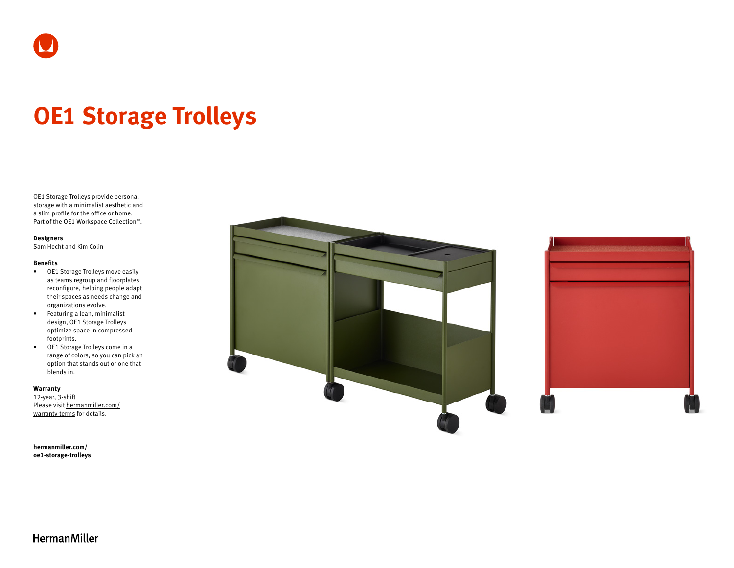

# **OE1 Storage Trolleys**

OE1 Storage Trolleys provide personal storage with a minimalist aesthetic and a slim profile for the office or home. Part of the OE1 Workspace Collection™.

### **Designers**

Sam Hecht and Kim Colin

#### **Benefits**

- OE1 Storage Trolleys move easily as teams regroup and floorplates reconfigure, helping people adapt their spaces as needs change and organizations evolve.
- Featuring a lean, minimalist design, OE1 Storage Trolleys optimize space in compressed footprints.
- OE1 Storage Trolleys come in a range of colors, so you can pick an option that stands out or one that blends in.

#### **Warranty**

12-year, 3-shift Please visit [hermanmiller.com/](https://hermanmiller.com/warranty-terms) [warranty-terms](https://hermanmiller.com/warranty-terms) for details.

**[hermanmiller.com/](https://hermanmiller.com/oe1-storage-trolleys) [oe1-s](https://hermanmiller.com/oe1-storage-trolleys)torage-trolleys**